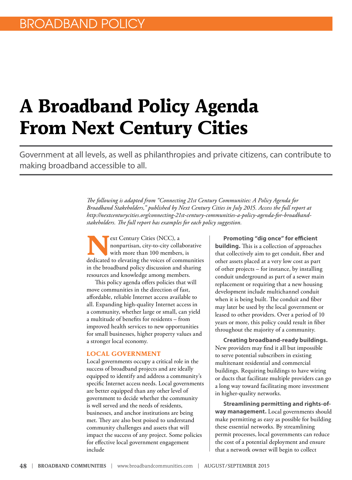# **A Broadband Policy Agenda From Next Century Cities**

Government at all levels, as well as philanthropies and private citizens, can contribute to making broadband accessible to all.

> *The following is adapted from "Connecting 21st Century Communities: A Policy Agenda for Broadband Stakeholders," published by Next Century Cities in July 2015. Access the full report at [http://nextcenturycities.org/connecting-21st-century-communities-a-policy-agenda-for-broadband](http://nextcenturycities.org/connecting-21st-century-communities-a-policy-agenda-for-broadband-stakeholders)[stakeholders.](http://nextcenturycities.org/connecting-21st-century-communities-a-policy-agenda-for-broadband-stakeholders) The full report has examples for each policy suggestion.*

**P**ext Century Cities (NCC), a nonpartisan, city-to-city collaborative with more than 100 members, is dedicated to elevating the voices of communities in the broadband policy discussion and sharing resources and knowledge among members.

This policy agenda offers policies that will move communities in the direction of fast, affordable, reliable Internet access available to all. Expanding high-quality Internet access in a community, whether large or small, can yield a multitude of benefits for residents – from improved health services to new opportunities for small businesses, higher property values and a stronger local economy.

#### **LOCAL GOVERNMENT**

Local governments occupy a critical role in the success of broadband projects and are ideally equipped to identify and address a community's specific Internet access needs. Local governments are better equipped than any other level of government to decide whether the community is well served and the needs of residents, businesses, and anchor institutions are being met. They are also best poised to understand community challenges and assets that will impact the success of any project. Some policies for effective local government engagement include

**Promoting "dig once" for efficient building.** This is a collection of approaches that collectively aim to get conduit, fiber and other assets placed at a very low cost as part of other projects – for instance, by installing conduit underground as part of a sewer main replacement or requiring that a new housing development include multichannel conduit when it is being built. The conduit and fiber may later be used by the local government or leased to other providers. Over a period of 10 years or more, this policy could result in fiber throughout the majority of a community.

**Creating broadband-ready buildings.** New providers may find it all but impossible to serve potential subscribers in existing multitenant residential and commercial buildings. Requiring buildings to have wiring or ducts that facilitate multiple providers can go a long way toward facilitating more investment in higher-quality networks.

**Streamlining permitting and rights-ofway management.** Local governments should make permitting as easy as possible for building these essential networks. By streamlining permit processes, local governments can reduce the cost of a potential deployment and ensure that a network owner will begin to collect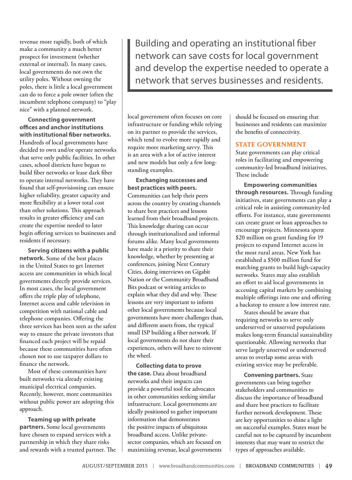revenue more rapidly, both of which make a community a much better prospect for investment (whether external or internal). In many cases, local governments do not own the utility poles. Without owning the poles, there is little a local government can do to force a pole owner (often the incumbent telephone company) to "play nice" with a planned network.

**Connecting government offices and anchor institutions with institutional fiber networks.** Hundreds of local governments have decided to own and/or operate networks that serve only public facilities. In other cases, school districts have begun to build fiber networks or lease dark fiber to operate internal networks. They have found that self-provisioning can ensure higher reliability, greater capacity and more flexibility at a lower total cost than other solutions. This approach results in greater efficiency and can create the expertise needed to later begin offering services to businesses and residents if necessary.

**Serving citizens with a public network.** Some of the best places in the United States to get Internet access are communities in which local governments directly provide services. In most cases, the local government offers the triple play of telephone, Internet access and cable television in competition with national cable and telephone companies. Offering the three services has been seen as the safest way to ensure the private investors that financed each project will be repaid because these communities have often chosen not to use taxpayer dollars to finance the network.

Most of these communities have built networks via already existing municipal electrical companies. Recently, however, more communities without public power are adopting this approach.

**Teaming up with private partners.** Some local governments have chosen to expand services with a partnership in which they share risks and rewards with a trusted partner. The

Building and operating an institutional fiber network can save costs for local government and develop the expertise needed to operate a network that serves businesses and residents.

local government often focuses on core infrastructure or funding while relying on its partner to provide the services, which tend to evolve more rapidly and require more marketing savvy. This is an area with a lot of active interest and new models but only a few longstanding examples.

**Exchanging successes and best practices with peers.** Communities can help their peers across the country by creating channels to share best practices and lessons learned from their broadband projects. This knowledge sharing can occur through institutionalized and informal forums alike. Many local governments have made it a priority to share their knowledge, whether by presenting at conferences, joining Next Century Cities, doing interviews on Gigabit Nation or the Community Broadband Bits podcast or writing articles to explain what they did and why. These lessons are very important to inform other local governments because local governments have more challenges than, and different assets from, the typical small ISP building a fiber network. If local governments do not share their experiences, others will have to reinvent the wheel.

**Collecting data to prove the case.** Data about broadband networks and their impacts can provide a powerful tool for advocates in other communities seeking similar infrastructure. Local governments are ideally positioned to gather important information that demonstrates the positive impacts of ubiquitous broadband access. Unlike privatesector companies, which are focused on maximizing revenue, local governments

should be focused on ensuring that businesses and residents can maximize the benefits of connectivity.

## **STATE GOVERNMENT**

State governments can play critical roles in facilitating and empowering community-led broadband initiatives. These include

**Empowering communities through resources.** Through funding initiatives, state governments can play a critical role in assisting community-led efforts. For instance, state governments can create grant or loan approaches to encourage projects. Minnesota spent \$20 million on grant funding for 19 projects to expand Internet access in the most rural areas. New York has established a \$500 million fund for matching grants to build high-capacity networks. States may also establish an effort to aid local governments in accessing capital markets by combining multiple offerings into one and offering a backstop to ensure a low interest rate.

States should be aware that requiring networks to serve only underserved or unserved populations makes long-term financial sustainability questionable. Allowing networks that serve largely unserved or underserved areas to overlap some areas with existing service may be preferable.

**Convening partners.** State governments can bring together stakeholders and communities to discuss the importance of broadband and share best practices to facilitate further network development. These are key opportunities to shine a light on successful examples. States must be careful not to be captured by incumbent interests that may want to restrict the types of approaches available.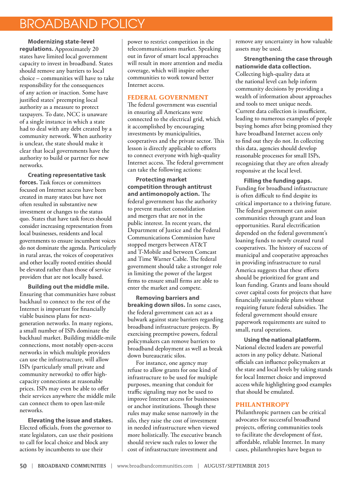# BROADBAND POLICY

**Modernizing state-level regulations.** Approximately 20 states have limited local government capacity to invest in broadband. States should remove any barriers to local choice – communities will have to take responsibility for the consequences of any action or inaction. Some have justified states' preempting local authority as a measure to protect taxpayers. To date, NCC is unaware of a single instance in which a state had to deal with any debt created by a community network. When authority is unclear, the state should make it clear that local governments have the authority to build or partner for new networks.

**Creating representative task forces.** Task forces or committees focused on Internet access have been created in many states but have not often resulted in substantive new investment or changes to the status quo. States that have task forces should consider increasing representation from local businesses, residents and local governments to ensure incumbent voices do not dominate the agenda. Particularly in rural areas, the voices of cooperatives and other locally rooted entities should be elevated rather than those of service providers that are not locally based.

**Building out the middle mile.** Ensuring that communities have robust backhaul to connect to the rest of the Internet is important for financially viable business plans for nextgeneration networks. In many regions, a small number of ISPs dominate the backhaul market. Building middle-mile connections, most notably open-access networks in which multiple providers can use the infrastructure, will allow ISPs (particularly small private and community networks) to offer highcapacity connections at reasonable prices. ISPs may even be able to offer their services anywhere the middle mile can connect them to open last-mile networks.

**Elevating the issue and stakes.** Elected officials, from the governor to state legislators, can use their positions to call for local choice and block any actions by incumbents to use their

power to restrict competition in the telecommunications market. Speaking out in favor of smart local approaches will result in more attention and media coverage, which will inspire other communities to work toward better Internet access.

# **FEDERAL GOVERNMENT**

The federal government was essential in ensuring all Americans were connected to the electrical grid, which it accomplished by encouraging investments by municipalities, cooperatives and the private sector. This lesson is directly applicable to efforts to connect everyone with high-quality Internet access. The federal government can take the following actions:

**Protecting market competition through antitrust and antimonopoly action.** The federal government has the authority to prevent market consolidation and mergers that are not in the public interest. In recent years, the Department of Justice and the Federal Communications Commission have stopped mergers between AT&T and T-Mobile and between Comcast and Time Warner Cable. The federal government should take a stronger role in limiting the power of the largest firms to ensure small firms are able to enter the market and compete.

**Removing barriers and breaking down silos.** In some cases, the federal government can act as a bulwark against state barriers regarding broadband infrastructure projects. By exercising preemptive powers, federal policymakers can remove barriers to broadband deployment as well as break down bureaucratic silos.

For instance, one agency may refuse to allow grants for one kind of infrastructure to be used for multiple purposes, meaning that conduit for traffic signaling may not be used to improve Internet access for businesses or anchor institutions. Though these rules may make sense narrowly in the silo, they raise the cost of investment in needed infrastructure when viewed more holistically. The executive branch should review such rules to lower the cost of infrastructure investment and

remove any uncertainty in how valuable assets may be used.

**Strengthening the case through nationwide data collection.** Collecting high-quality data at the national level can help inform community decisions by providing a wealth of information about approaches and tools to meet unique needs. Current data collection is insufficient, leading to numerous examples of people buying homes after being promised they have broadband Internet access only to find out they do not. In collecting this data, agencies should develop reasonable processes for small ISPs, recognizing that they are often already responsive at the local level.

**Filling the funding gaps.** Funding for broadband infrastructure is often difficult to find despite its critical importance to a thriving future. The federal government can assist communities through grant and loan opportunities. Rural electrification depended on the federal government's loaning funds to newly created rural cooperatives. The history of success of municipal and cooperative approaches in providing infrastructure to rural America suggests that these efforts should be prioritized for grant and loan funding. Grants and loans should cover capital costs for projects that have financially sustainable plans without requiring future federal subsidies. The federal government should ensure paperwork requirements are suited to small, rural operations.

**Using the national platform.** National elected leaders are powerful actors in any policy debate. National officials can influence policymakers at the state and local levels by taking stands for local Internet choice and improved access while highlighting good examples that should be emulated.

# **PHILANTHROPY**

Philanthropic partners can be critical advocates for successful broadband projects, offering communities tools to facilitate the development of fast, affordable, reliable Internet. In many cases, philanthropies have begun to